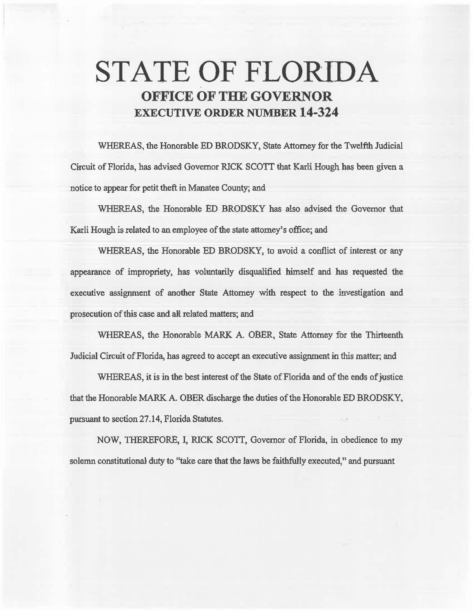# **STATE OF FLORIDA OFFICE OF THE GOVERNOR EXECUTIVE ORDER NUMBER 14-324**

WHEREAS, the Honorable ED BRODSKY, State Attorney for the Twelfth Judicial Circuit of Florida, has advised Governor RICK SCOTT that Karli Hough has been given a notice to appear for petit theft in Manatee County; and

WHEREAS, the Honorable ED BRODSKY has also advised the Governor that Karli Hough is related to an employee of the state attorney's office; and

WHEREAS, the Honorable ED BRODSKY, to avoid a conflict of interest or any appearance of impropriety, has voluntarily disqualified himself and has requested the executive assignment of another State Attorney with respect to the investigation and prosecution of this case and all related matters; and

WHEREAS, the Honorable MARK A. OBER, State Attorney for the Thirteenth Judicial Circuit of Florida, has agreed to accept an executive assignment in this matter; and

WHEREAS, it is in the best interest of the State of Florida and of the ends of justice that the Honorable MARK A. OBER discharge the duties of the Honorable ED BRODSKY, pursuant to section 27.14, Florida Statutes.

NOW, THEREFORE, I, RICK SCOTT, Governor of Florida, in obedience to my solemn constitutional duty to "take care that the laws be faithfully executed," and pursuant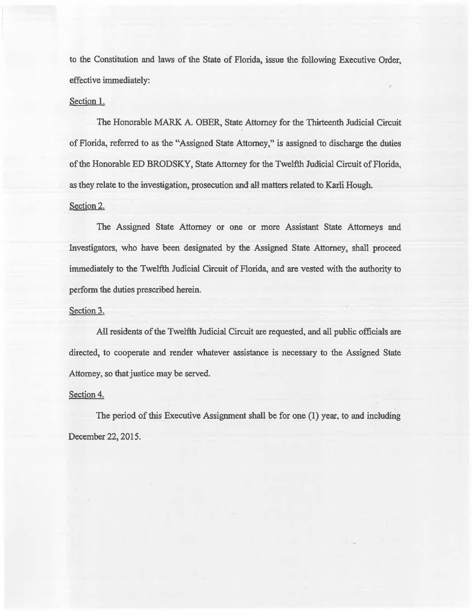to the Constitution and laws of the State of Florida, issue the following Executive Order, effective immediately:

## Section 1.

The Honorable MARK A. OBER, State Attorney for the Thirteenth Judicial Circuit of Florida, referred to as the "Assigned State Attorney," is assigned to discharge the duties of the Honorable ED BRODSKY, State Attorney for the Twelfth Judicial Circuit of Florida, as they relate to the investigation, prosecution and all matters related to Karli Hough.

## Section 2.

The Assigned State Attorney or one or more Assistant State Attorneys and Investigators, who have been designated by the Assigned State Attorney, shall proceed immediately to the Twelfth Judicial Circuit of Florida, and are vested with the authority to perfonn the duties prescribed herein.

### Section 3.

AU residents of the Twelfth Judicial Circuit are requested, and all public officials are directed, to cooperate and render whatever assistance is necessary to the Assigned State Attorney, so that justice may be served.

### Section 4.

The period of this Executive Assignment shall be for one (1) year, to and including December 22, 2015.